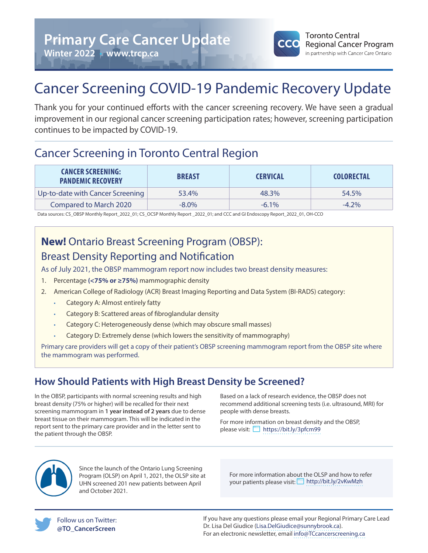

# Cancer Screening COVID-19 Pandemic Recovery Update

Thank you for your continued efforts with the cancer screening recovery. We have seen a gradual improvement in our regional cancer screening participation rates; however, screening participation continues to be impacted by COVID-19.

## Cancer Screening in Toronto Central Region

| <b>CANCER SCREENING:</b><br><b>PANDEMIC RECOVERY</b> | <b>BREAST</b> | <b>CERVICAL</b> | <b>COLORECTAL</b> |
|------------------------------------------------------|---------------|-----------------|-------------------|
| Up-to-date with Cancer Screening                     | 53.4%         | 48.3%           | 54.5%             |
| <b>Compared to March 2020</b>                        | $-8.0\%$      | $-6.1\%$        | $-4.2\%$          |

Data sources: CS\_OBSP Monthly Report\_2022\_01; CS\_OCSP Monthly Report \_2022\_01; and CCC and GI Endoscopy Report\_2022\_01, OH-CCO

## **New!** Ontario Breast Screening Program (OBSP): Breast Density Reporting and Notification

As of July 2021, the OBSP mammogram report now includes two breast density measures:

- 1. Percentage **(<75% or ≥75%)** mammographic density
- 2. American College of Radiology (ACR) Breast Imaging Reporting and Data System (BI-RADS) category:
	- Category A: Almost entirely fatty
	- Category B: Scattered areas of fibroglandular density
	- Category C: Heterogeneously dense (which may obscure small masses)
	- Category D: Extremely dense (which lowers the sensitivity of mammography)

Primary care providers will get a copy of their patient's OBSP screening mammogram report from the OBSP site where the mammogram was performed.

## **How Should Patients with High Breast Density be Screened?**

In the OBSP, participants with normal screening results and high breast density (75% or higher) will be recalled for their next screening mammogram in **1 year instead of 2 years** due to dense breast tissue on their mammogram. This will be indicated in the report sent to the primary care provider and in the letter sent to the patient through the OBSP.

Based on a lack of research evidence, the OBSP does not recommend additional screening tests (i.e. ultrasound, MRI) for people with dense breasts.

For more information on breast density and the OBSP, please visit: https://bit.ly/3pfcm99



Since the launch of the Ontario Lung Screening Program (OLSP) on April 1, 2021, the OLSP site at UHN screened 201 new patients between April and October 2021.

For more information about the OLSP and how to refer your patients please visit: http://bit.ly/2vKwMzh



If you have any questions please email your Regional Primary Care Lead Dr. Lisa Del Giudice (Lisa.DelGiudice@sunnybrook.ca). For an electronic newsletter, email info@TCcancerscreening.ca